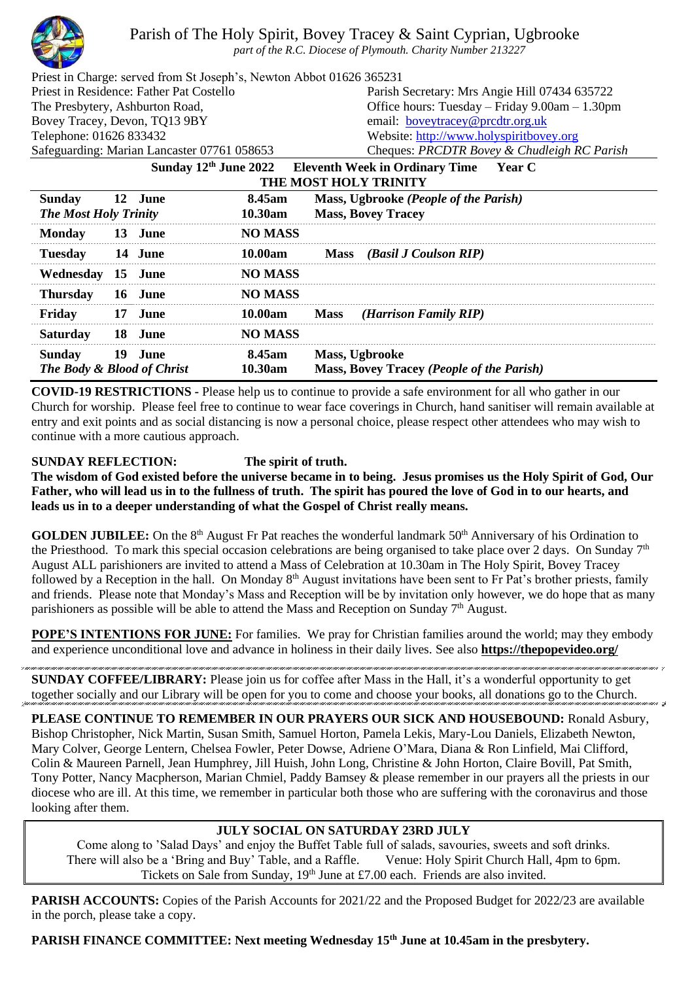

Parish of The Holy Spirit, Bovey Tracey & Saint Cyprian, Ugbrooke

*part of the R.C. Diocese of Plymouth. Charity Number 213227*

| Priest in Charge: served from St Joseph's, Newton Abbot 01626 365231<br>Priest in Residence: Father Pat Costello |    |         |                |                                                                    | Parish Secretary: Mrs Angie Hill 07434 635722                                     |  |
|------------------------------------------------------------------------------------------------------------------|----|---------|----------------|--------------------------------------------------------------------|-----------------------------------------------------------------------------------|--|
| The Presbytery, Ashburton Road,                                                                                  |    |         |                | Office hours: Tuesday $-$ Friday 9.00am $-1.30$ pm                 |                                                                                   |  |
| Bovey Tracey, Devon, TQ13 9BY                                                                                    |    |         |                | email: boveytracey@prcdtr.org.uk                                   |                                                                                   |  |
|                                                                                                                  |    |         |                |                                                                    |                                                                                   |  |
| Telephone: 01626 833432                                                                                          |    |         |                | Website: http://www.holyspiritbovey.org                            |                                                                                   |  |
| Safeguarding: Marian Lancaster 07761 058653                                                                      |    |         |                |                                                                    | Cheques: PRCDTR Bovey & Chudleigh RC Parish                                       |  |
|                                                                                                                  |    |         |                |                                                                    | Sunday 12 <sup>th</sup> June 2022 Eleventh Week in Ordinary Time<br><b>Year C</b> |  |
| <b>THE MOST HOLY TRINITY</b>                                                                                     |    |         |                |                                                                    |                                                                                   |  |
| <b>Sunday</b>                                                                                                    |    | 12 June | 8.45am         |                                                                    | Mass, Ugbrooke (People of the Parish)                                             |  |
| <b>The Most Holy Trinity</b>                                                                                     |    |         | 10.30am        |                                                                    | <b>Mass, Bovey Tracey</b>                                                         |  |
| <b>Monday</b>                                                                                                    |    | 13 June | <b>NO MASS</b> |                                                                    |                                                                                   |  |
| <b>Tuesday</b>                                                                                                   |    | 14 June | 10.00am        |                                                                    | Mass (Basil J Coulson RIP)                                                        |  |
| Wednesday 15 June                                                                                                |    |         | <b>NO MASS</b> |                                                                    |                                                                                   |  |
| <b>Thursday</b>                                                                                                  |    | 16 June | <b>NO MASS</b> |                                                                    |                                                                                   |  |
| Friday                                                                                                           |    | 17 June | 10.00am        | <b>Mass</b>                                                        | ( <i>Harrison Family RIP</i> )                                                    |  |
| <b>Saturday</b>                                                                                                  | 18 | June    | <b>NO MASS</b> |                                                                    |                                                                                   |  |
| 19 June<br>8.45am<br><b>Sunday</b><br>The Body & Blood of Christ                                                 |    |         | 10.30am        | Mass, Ugbrooke<br><b>Mass, Bovey Tracey (People of the Parish)</b> |                                                                                   |  |
|                                                                                                                  |    |         |                |                                                                    |                                                                                   |  |

**COVID-19 RESTRICTIONS -** Please help us to continue to provide a safe environment for all who gather in our Church for worship. Please feel free to continue to wear face coverings in Church, hand sanitiser will remain available at entry and exit points and as social distancing is now a personal choice, please respect other attendees who may wish to continue with a more cautious approach.

## **SUNDAY REFLECTION: The spirit of truth.**

**The wisdom of God existed before the universe became in to being. Jesus promises us the Holy Spirit of God, Our Father, who will lead us in to the fullness of truth. The spirit has poured the love of God in to our hearts, and leads us in to a deeper understanding of what the Gospel of Christ really means.**

**GOLDEN JUBILEE:** On the 8<sup>th</sup> August Fr Pat reaches the wonderful landmark 50<sup>th</sup> Anniversary of his Ordination to the Priesthood. To mark this special occasion celebrations are being organised to take place over 2 days. On Sunday  $7<sup>th</sup>$ August ALL parishioners are invited to attend a Mass of Celebration at 10.30am in The Holy Spirit, Bovey Tracey followed by a Reception in the hall. On Monday  $8<sup>th</sup>$  August invitations have been sent to Fr Pat's brother priests, family and friends. Please note that Monday's Mass and Reception will be by invitation only however, we do hope that as many parishioners as possible will be able to attend the Mass and Reception on Sunday  $7<sup>th</sup>$  August.

**POPE'S INTENTIONS FOR JUNE:** For families. We pray for Christian families around the world; may they embody and experience unconditional love and advance in holiness in their daily lives. See also **<https://thepopevideo.org/>**

**SUNDAY COFFEE/LIBRARY:** Please join us for coffee after Mass in the Hall, it's a wonderful opportunity to get together socially and our Library will be open for you to come and choose your books, all donations go to the Church.

**PLEASE CONTINUE TO REMEMBER IN OUR PRAYERS OUR SICK AND HOUSEBOUND:** Ronald Asbury, Bishop Christopher, Nick Martin, Susan Smith, Samuel Horton, Pamela Lekis, Mary-Lou Daniels, Elizabeth Newton, Mary Colver, George Lentern, Chelsea Fowler, Peter Dowse, Adriene O'Mara, Diana & Ron Linfield, Mai Clifford, Colin & Maureen Parnell, Jean Humphrey, Jill Huish, John Long, Christine & John Horton, Claire Bovill, Pat Smith, Tony Potter, Nancy Macpherson, Marian Chmiel, Paddy Bamsey & please remember in our prayers all the priests in our diocese who are ill. At this time, we remember in particular both those who are suffering with the coronavirus and those looking after them.

## **JULY SOCIAL ON SATURDAY 23RD JULY**

Come along to 'Salad Days' and enjoy the Buffet Table full of salads, savouries, sweets and soft drinks.<br>here will also be a 'Bring and Buy' Table, and a Raffle. Venue: Holy Spirit Church Hall, 4pm to 6pm. There will also be a 'Bring and Buy' Table, and a Raffle. Tickets on Sale from Sunday,  $19<sup>th</sup>$  June at £7.00 each. Friends are also invited.

**PARISH ACCOUNTS:** Copies of the Parish Accounts for 2021/22 and the Proposed Budget for 2022/23 are available in the porch, please take a copy.

**PARISH FINANCE COMMITTEE: Next meeting Wednesday 15th June at 10.45am in the presbytery.**